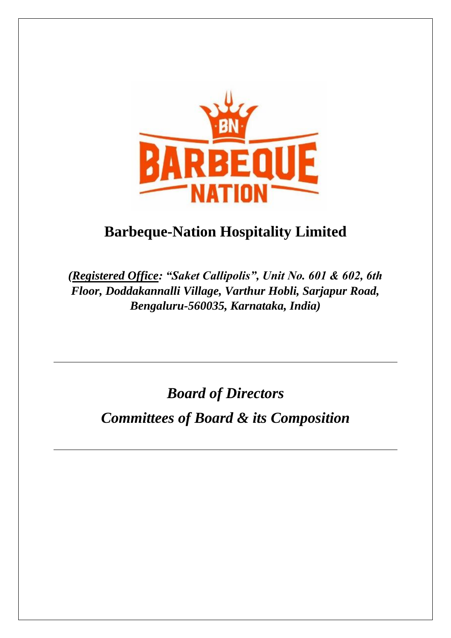

# **Barbeque-Nation Hospitality Limited**

*(Registered Office: "Saket Callipolis", Unit No. 601 & 602, 6th Floor, Doddakannalli Village, Varthur Hobli, Sarjapur Road, Bengaluru-560035, Karnataka, India)*

*Board of Directors*

*Committees of Board & its Composition*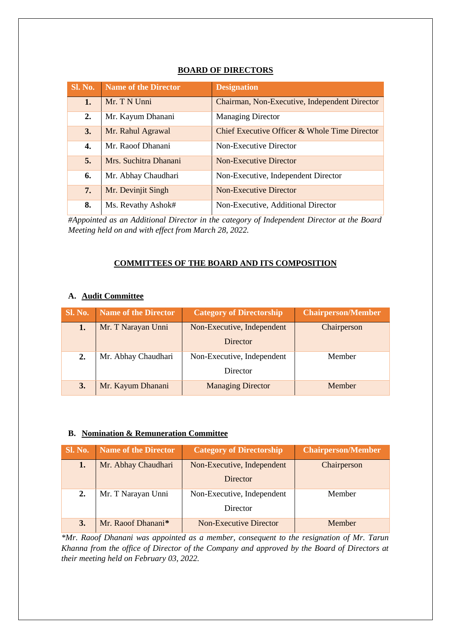| <b>Sl. No.</b> | <b>Name of the Director</b> | <b>Designation</b>                            |
|----------------|-----------------------------|-----------------------------------------------|
| 1.             | Mr. T N Unni                | Chairman, Non-Executive, Independent Director |
| 2.             | Mr. Kayum Dhanani           | <b>Managing Director</b>                      |
| 3.             | Mr. Rahul Agrawal           | Chief Executive Officer & Whole Time Director |
| 4.             | Mr. Raoof Dhanani           | Non-Executive Director                        |
| 5.             | Mrs. Suchitra Dhanani       | <b>Non-Executive Director</b>                 |
| 6.             | Mr. Abhay Chaudhari         | Non-Executive, Independent Director           |
| 7.             | Mr. Devinjit Singh          | <b>Non-Executive Director</b>                 |
| 8.             | Ms. Revathy Ashok#          | Non-Executive, Additional Director            |

## **BOARD OF DIRECTORS**

*#Appointed as an Additional Director in the category of Independent Director at the Board Meeting held on and with effect from March 28, 2022.*

#### **COMMITTEES OF THE BOARD AND ITS COMPOSITION**

#### **A. Audit Committee**

| <b>Sl. No.</b> | <b>Name of the Director</b> | <b>Category of Directorship</b> | <b>Chairperson/Member</b> |
|----------------|-----------------------------|---------------------------------|---------------------------|
| 1.             | Mr. T Narayan Unni          | Non-Executive, Independent      | Chairperson               |
|                |                             | Director                        |                           |
| 2.             | Mr. Abhay Chaudhari         | Non-Executive, Independent      | Member                    |
|                |                             | Director                        |                           |
| 3.             | Mr. Kayum Dhanani           | <b>Managing Director</b>        | Member                    |

#### **B. Nomination & Remuneration Committee**

| <b>Sl. No.</b> | Name of the Director | <b>Category of Directorship</b> | <b>Chairperson/Member</b> |
|----------------|----------------------|---------------------------------|---------------------------|
| 1.             | Mr. Abhay Chaudhari  | Non-Executive, Independent      | Chairperson               |
|                |                      | Director                        |                           |
| 2.             | Mr. T Narayan Unni   | Non-Executive, Independent      | Member                    |
|                |                      | Director                        |                           |
| 3.             | Mr. Raoof Dhanani*   | <b>Non-Executive Director</b>   | Member                    |

*\*Mr. Raoof Dhanani was appointed as a member, consequent to the resignation of Mr. Tarun Khanna from the office of Director of the Company and approved by the Board of Directors at their meeting held on February 03, 2022.*